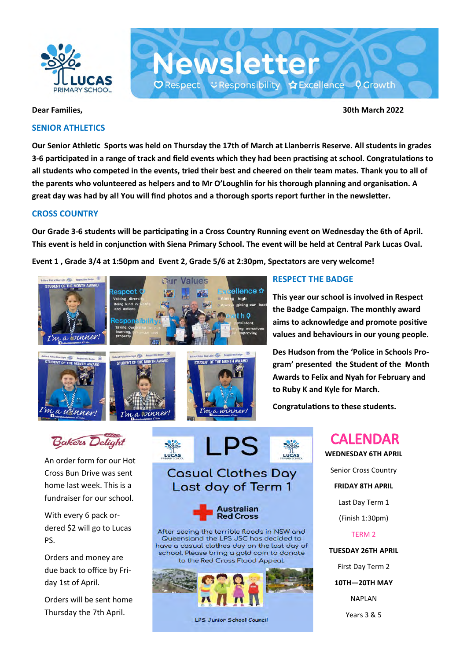

### **SENIOR ATHLETICS**

**Dear Families, 30th March 2022**

**Our Senior Athletic Sports was held on Thursday the 17th of March at Llanberris Reserve. All students in grades 3-6 participated in a range of track and field events which they had been practising at school. Congratulations to all students who competed in the events, tried their best and cheered on their team mates. Thank you to all of the parents who volunteered as helpers and to Mr O'Loughlin for his thorough planning and organisation. A great day was had by al! You will find photos and a thorough sports report further in the newsletter.**

**Newsletter** 

 $\mathbf O$  Respect  $\mathbf C$  Responsibility  $\mathbf O$  Excellence  $\mathbf O$  Growth

### **CROSS COUNTRY**

**Our Grade 3-6 students will be participating in a Cross Country Running event on Wednesday the 6th of April. This event is held in conjunction with Siena Primary School. The event will be held at Central Park Lucas Oval.** 

**Event 1 , Grade 3/4 at 1:50pm and Event 2, Grade 5/6 at 2:30pm, Spectators are very welcome!** 









### **RESPECT THE BADGE**

**This year our school is involved in Respect the Badge Campaign. The monthly award aims to acknowledge and promote positive values and behaviours in our young people.**

**Des Hudson from the 'Police in Schools Program' presented the Student of the Month Awards to Felix and Nyah for February and to Ruby K and Kyle for March.**

**Congratulations to these students.**

# **CALENDAR**

**WEDNESDAY 6TH APRIL** Senior Cross Country **FRIDAY 8TH APRIL** Last Day Term 1 (Finish 1:30pm) TERM 2 **TUESDAY 26TH APRIL** First Day Term 2

**10TH—20TH MAY**

NAPLAN

Years 3 & 5



An order form for our Hot Cross Bun Drive was sent home last week. This is a fundraiser for our school.

With every 6 pack ordered \$2 will go to Lucas PS.

Orders and money are due back to office by Friday 1st of April.

Orders will be sent home Thursday the 7th April.



### **Casual Clothes Day** Last day of Term 1



After seeing the terrible floods in NSW and Queensland the LPS JSC has decided to have a casual clothes day on the last day of school. Please bring a gold coin to donate to the Red Cross Flood Appeal.

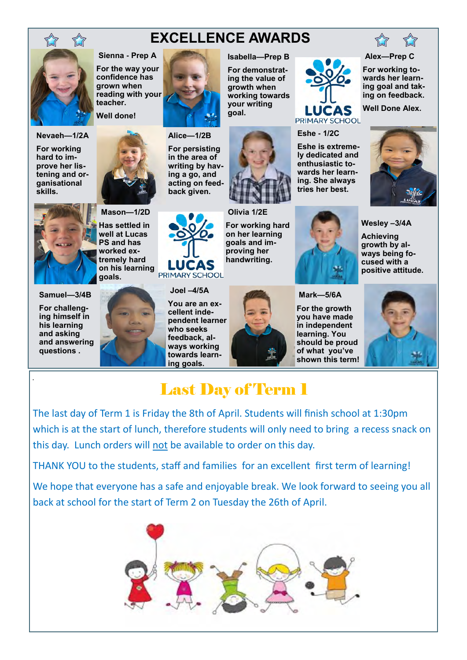

### **EXCELLENCE AWARDS**

**Isabella—Prep B For demonstrating the value of growth when working towards your writing goal.**

**Sienna - Prep A For the way your confidence has grown when reading with your teacher.** 

**Well done!**



**For working hard to improve her listening and organisational skills.**



**Has settled in well at Lucas PS and has worked extremely hard on his learning**  PRIMARY SCHOOL **goals.**

**Mason—1/2D**

### **Samuel—3/4B**

**For challenging himself in his learning and asking and answering questions .**

.





**Alice—1/2B**

**For persisting in the area of writing by having a go, and acting on feedback given.**



**Joel –4/5A You are an excellent independent learner who seeks feedback, always working towards learning goals.**

**Olivia 1/2E For working hard on her learning goals and improving her handwriting.**



**Eshe - 1/2C**

**Eshe is extremely dedicated and enthusiastic towards her learning. She always tries her best.**

LUCAS PRIMARY SCHOOL

**Mark—5/6A For the growth you have made in independent learning. You should be proud of what you've shown this term!**



### Last Day of Term 1

The last day of Term 1 is Friday the 8th of April. Students will finish school at 1:30pm which is at the start of lunch, therefore students will only need to bring a recess snack on this day. Lunch orders will not be available to order on this day.

THANK YOU to the students, staff and families for an excellent first term of learning!

We hope that everyone has a safe and enjoyable break. We look forward to seeing you all back at school for the start of Term 2 on Tuesday the 26th of April.





**Alex—Prep C**

**For working towards her learning goal and taking on feedback.**

**Well Done Alex.**



**Wesley –3/4A**

**Achieving growth by always being focused with a positive attitude.**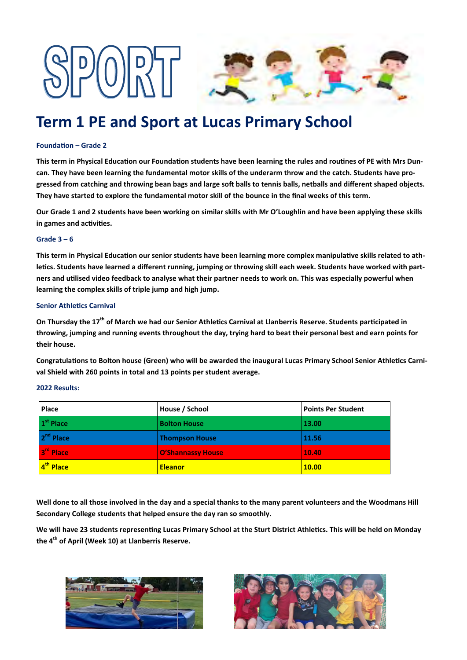

## **Term 1 PE and Sport at Lucas Primary School**

#### **Foundation – Grade 2**

**This term in Physical Education our Foundation students have been learning the rules and routines of PE with Mrs Duncan. They have been learning the fundamental motor skills of the underarm throw and the catch. Students have progressed from catching and throwing bean bags and large soft balls to tennis balls, netballs and different shaped objects. They have started to explore the fundamental motor skill of the bounce in the final weeks of this term.** 

**Our Grade 1 and 2 students have been working on similar skills with Mr O'Loughlin and have been applying these skills in games and activities.**

#### **Grade 3 – 6**

**This term in Physical Education our senior students have been learning more complex manipulative skills related to athletics. Students have learned a different running, jumping or throwing skill each week. Students have worked with partners and utilised video feedback to analyse what their partner needs to work on. This was especially powerful when learning the complex skills of triple jump and high jump.**

#### **Senior Athletics Carnival**

**On Thursday the 17th of March we had our Senior Athletics Carnival at Llanberris Reserve. Students participated in throwing, jumping and running events throughout the day, trying hard to beat their personal best and earn points for their house.** 

**Congratulations to Bolton house (Green) who will be awarded the inaugural Lucas Primary School Senior Athletics Carnival Shield with 260 points in total and 13 points per student average.** 

#### **2022 Results:**

| Place                 | House / School           | <b>Points Per Student</b> |
|-----------------------|--------------------------|---------------------------|
| 1 <sup>st</sup> Place | <b>Bolton House</b>      | 13.00                     |
| 2 <sup>nd</sup> Place | <b>Thompson House</b>    | 11.56                     |
| 3rd Place             | <b>O'Shannassy House</b> | 10.40                     |
| 4 <sup>th</sup> Place | <b>Eleanor</b>           | <b>10.00</b>              |

**Well done to all those involved in the day and a special thanks to the many parent volunteers and the Woodmans Hill Secondary College students that helped ensure the day ran so smoothly.**

**We will have 23 students representing Lucas Primary School at the Sturt District Athletics. This will be held on Monday the 4th of April (Week 10) at Llanberris Reserve.**



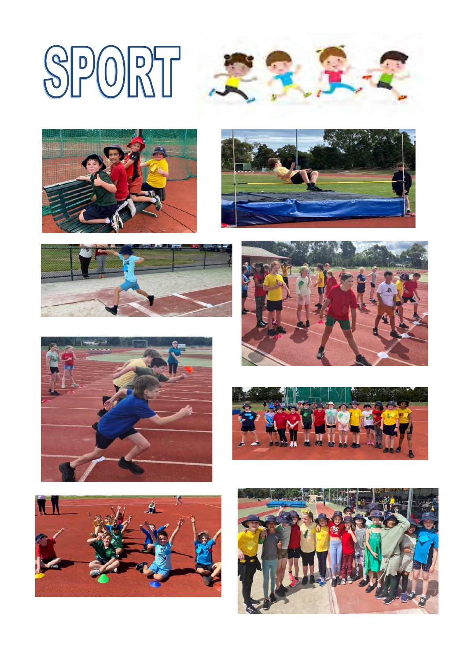